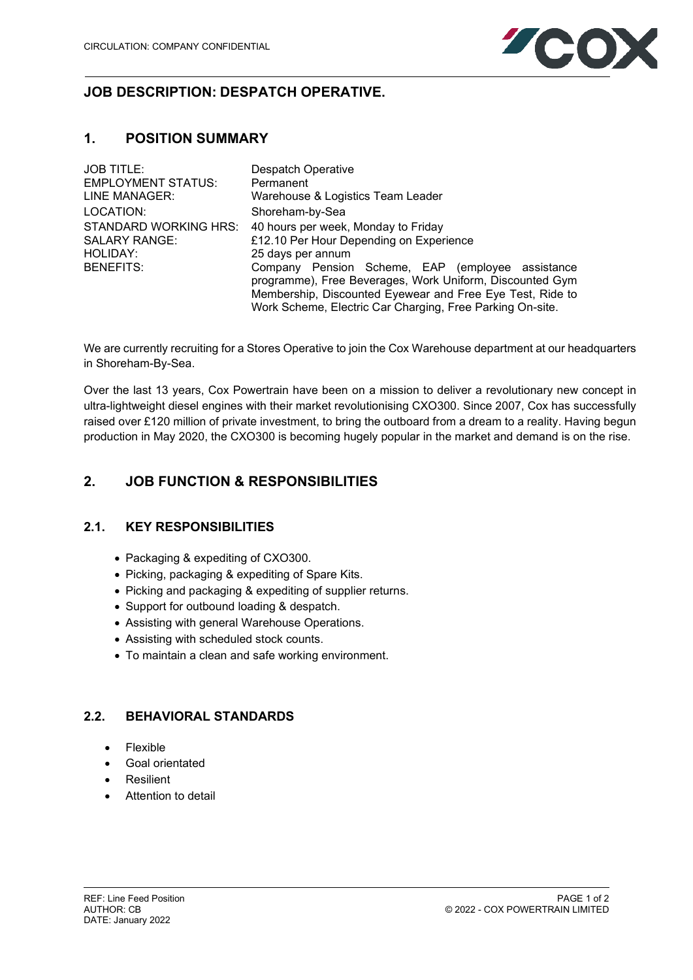

# **JOB DESCRIPTION: DESPATCH OPERATIVE.**

## **1. POSITION SUMMARY**

| <b>JOB TITLE:</b>         | <b>Despatch Operative</b>                                                                                    |
|---------------------------|--------------------------------------------------------------------------------------------------------------|
| <b>EMPLOYMENT STATUS:</b> | Permanent                                                                                                    |
| LINE MANAGER:             | Warehouse & Logistics Team Leader                                                                            |
| LOCATION:                 | Shoreham-by-Sea                                                                                              |
| STANDARD WORKING HRS:     | 40 hours per week, Monday to Friday                                                                          |
| <b>SALARY RANGE:</b>      | £12.10 Per Hour Depending on Experience                                                                      |
| <b>HOLIDAY:</b>           | 25 days per annum                                                                                            |
| <b>BENEFITS:</b>          | Company Pension Scheme, EAP (employee assistance<br>programme), Free Beverages, Work Uniform, Discounted Gym |
|                           | Membership, Discounted Eyewear and Free Eye Test, Ride to                                                    |
|                           | Work Scheme, Electric Car Charging, Free Parking On-site.                                                    |

We are currently recruiting for a Stores Operative to join the Cox Warehouse department at our headquarters in Shoreham-By-Sea.

Over the last 13 years, Cox Powertrain have been on a mission to deliver a revolutionary new concept in ultra-lightweight diesel engines with their market revolutionising CXO300. Since 2007, Cox has successfully raised over £120 million of private investment, to bring the outboard from a dream to a reality. Having begun production in May 2020, the CXO300 is becoming hugely popular in the market and demand is on the rise.

# **2. JOB FUNCTION & RESPONSIBILITIES**

### **2.1. KEY RESPONSIBILITIES**

- Packaging & expediting of CXO300.
- Picking, packaging & expediting of Spare Kits.
- Picking and packaging & expediting of supplier returns.
- Support for outbound loading & despatch.
- Assisting with general Warehouse Operations.
- Assisting with scheduled stock counts.
- To maintain a clean and safe working environment.

### **2.2. BEHAVIORAL STANDARDS**

- Flexible
- Goal orientated
- Resilient
- Attention to detail